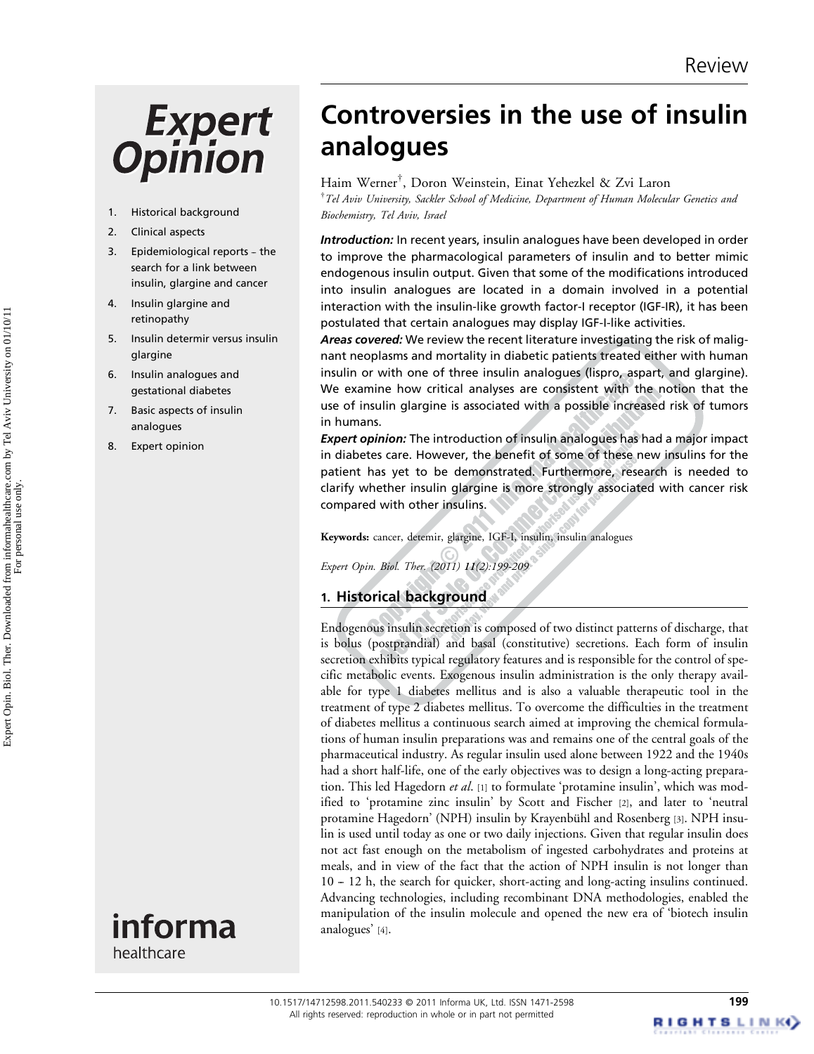# **Expert Opinion**

- 1. Historical background
- 2. Clinical aspects
- 3. Epidemiological reports the search for a link between insulin, glargine and cancer
- 4. Insulin glargine and retinopathy
- 5. Insulin determir versus insulin glargine
- 6. Insulin analogues and gestational diabetes
- 7. Basic aspects of insulin analogues
- 8. Expert opinion



Controversies in the use of insulin analogues

Haim Werner† , Doron Weinstein, Einat Yehezkel & Zvi Laron <sup>†</sup>Tel Aviv University, Sackler School of Medicine, Department of Human Molecular Genetics and Biochemistry, Tel Aviv, Israel

Introduction: In recent years, insulin analogues have been developed in order to improve the pharmacological parameters of insulin and to better mimic endogenous insulin output. Given that some of the modifications introduced into insulin analogues are located in a domain involved in a potential interaction with the insulin-like growth factor-I receptor (IGF-IR), it has been postulated that certain analogues may display IGF-I-like activities.

Areas covered: We review the recent literature investigating the risk of malignant neoplasms and mortality in diabetic patients treated either with human insulin or with one of three insulin analogues (lispro, aspart, and glargine). We examine how critical analyses are consistent with the notion that the use of insulin glargine is associated with a possible increased risk of tumors in humans.

**Expert opinion:** The introduction of insulin analogues has had a major impact in diabetes care. However, the benefit of some of these new insulins for the patient has yet to be demonstrated. Furthermore, research is needed to clarify whether insulin glargine is more strongly associated with cancer risk compared with other insulins.

Keywords: cancer, detemir, glargine, IGF-I, insulin, insulin analogues

Expert Opin. Biol. Ther. (2011) 11(2):199-209

# 1. Historical background

Endogenous insulin secretion is composed of two distinct patterns of discharge, that is bolus (postprandial) and basal (constitutive) secretions. Each form of insulin secretion exhibits typical regulatory features and is responsible for the control of specific metabolic events. Exogenous insulin administration is the only therapy available for type 1 diabetes mellitus and is also a valuable therapeutic tool in the treatment of type 2 diabetes mellitus. To overcome the difficulties in the treatment of diabetes mellitus a continuous search aimed at improving the chemical formulations of human insulin preparations was and remains one of the central goals of the pharmaceutical industry. As regular insulin used alone between 1922 and the 1940s had a short half-life, one of the early objectives was to design a long-acting preparation. This led Hagedorn et al. [1] to formulate 'protamine insulin', which was modified to 'protamine zinc insulin' by Scott and Fischer [2], and later to 'neutral protamine Hagedorn' (NPH) insulin by Krayenbühl and Rosenberg [3]. NPH insulin is used until today as one or two daily injections. Given that regular insulin does not act fast enough on the metabolism of ingested carbohydrates and proteins at meals, and in view of the fact that the action of NPH insulin is not longer than 10 -- 12 h, the search for quicker, short-acting and long-acting insulins continued. Advancing technologies, including recombinant DNA methodologies, enabled the manipulation of the insulin molecule and opened the new era of 'biotech insulin analogues' [4].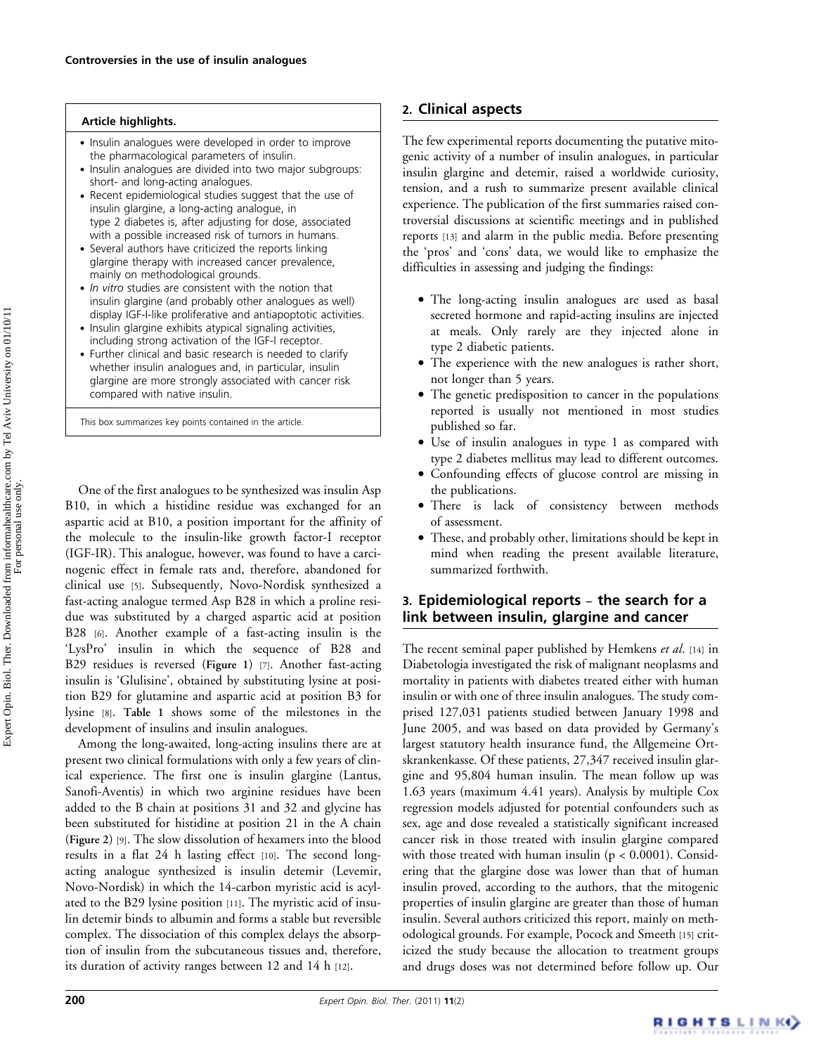#### Article highlights.

- . Insulin analogues were developed in order to improve the pharmacological parameters of insulin.
- . Insulin analogues are divided into two major subgroups: short- and long-acting analogues.
- . Recent epidemiological studies suggest that the use of insulin glargine, a long-acting analogue, in type 2 diabetes is, after adjusting for dose, associated with a possible increased risk of tumors in humans.
- . Several authors have criticized the reports linking glargine therapy with increased cancer prevalence, mainly on methodological grounds.
- In vitro studies are consistent with the notion that insulin glargine (and probably other analogues as well) display IGF-I-like proliferative and antiapoptotic activities.
- . Insulin glargine exhibits atypical signaling activities, including strong activation of the IGF-I receptor.
- . Further clinical and basic research is needed to clarify whether insulin analogues and, in particular, insulin glargine are more strongly associated with cancer risk compared with native insulin.

This box summarizes key points contained in the article.

One of the first analogues to be synthesized was insulin Asp B10, in which a histidine residue was exchanged for an aspartic acid at B10, a position important for the affinity of the molecule to the insulin-like growth factor-I receptor (IGF-IR). This analogue, however, was found to have a carcinogenic effect in female rats and, therefore, abandoned for clinical use [5]. Subsequently, Novo-Nordisk synthesized a fast-acting analogue termed Asp B28 in which a proline residue was substituted by a charged aspartic acid at position B28 [6]. Another example of a fast-acting insulin is the 'LysPro' insulin in which the sequence of B28 and B29 residues is reversed (Figure 1) [7]. Another fast-acting insulin is 'Glulisine', obtained by substituting lysine at position B29 for glutamine and aspartic acid at position B3 for lysine [8]. Table 1 shows some of the milestones in the development of insulins and insulin analogues.

Among the long-awaited, long-acting insulins there are at present two clinical formulations with only a few years of clinical experience. The first one is insulin glargine (Lantus, Sanofi-Aventis) in which two arginine residues have been added to the B chain at positions 31 and 32 and glycine has been substituted for histidine at position 21 in the A chain (Figure 2) [9]. The slow dissolution of hexamers into the blood results in a flat 24 h lasting effect [10]. The second longacting analogue synthesized is insulin detemir (Levemir, Novo-Nordisk) in which the 14-carbon myristic acid is acylated to the B29 lysine position [11]. The myristic acid of insulin detemir binds to albumin and forms a stable but reversible complex. The dissociation of this complex delays the absorption of insulin from the subcutaneous tissues and, therefore, its duration of activity ranges between 12 and 14 h [12].

# 2. Clinical aspects

The few experimental reports documenting the putative mitogenic activity of a number of insulin analogues, in particular insulin glargine and detemir, raised a worldwide curiosity, tension, and a rush to summarize present available clinical experience. The publication of the first summaries raised controversial discussions at scientific meetings and in published reports [13] and alarm in the public media. Before presenting the 'pros' and 'cons' data, we would like to emphasize the difficulties in assessing and judging the findings:

- . The long-acting insulin analogues are used as basal secreted hormone and rapid-acting insulins are injected at meals. Only rarely are they injected alone in type 2 diabetic patients.
- . The experience with the new analogues is rather short, not longer than 5 years.
- . The genetic predisposition to cancer in the populations reported is usually not mentioned in most studies published so far.
- . Use of insulin analogues in type 1 as compared with type 2 diabetes mellitus may lead to different outcomes.
- . Confounding effects of glucose control are missing in the publications.
- . There is lack of consistency between methods of assessment.
- . These, and probably other, limitations should be kept in mind when reading the present available literature, summarized forthwith.

# 3. Epidemiological reports – the search for a link between insulin, glargine and cancer

The recent seminal paper published by Hemkens et al. [14] in Diabetologia investigated the risk of malignant neoplasms and mortality in patients with diabetes treated either with human insulin or with one of three insulin analogues. The study comprised 127,031 patients studied between January 1998 and June 2005, and was based on data provided by Germany's largest statutory health insurance fund, the Allgemeine Ortskrankenkasse. Of these patients, 27,347 received insulin glargine and 95,804 human insulin. The mean follow up was 1.63 years (maximum 4.41 years). Analysis by multiple Cox regression models adjusted for potential confounders such as sex, age and dose revealed a statistically significant increased cancer risk in those treated with insulin glargine compared with those treated with human insulin ( $p < 0.0001$ ). Considering that the glargine dose was lower than that of human insulin proved, according to the authors, that the mitogenic properties of insulin glargine are greater than those of human insulin. Several authors criticized this report, mainly on methodological grounds. For example, Pocock and Smeeth [15] criticized the study because the allocation to treatment groups and drugs doses was not determined before follow up. Our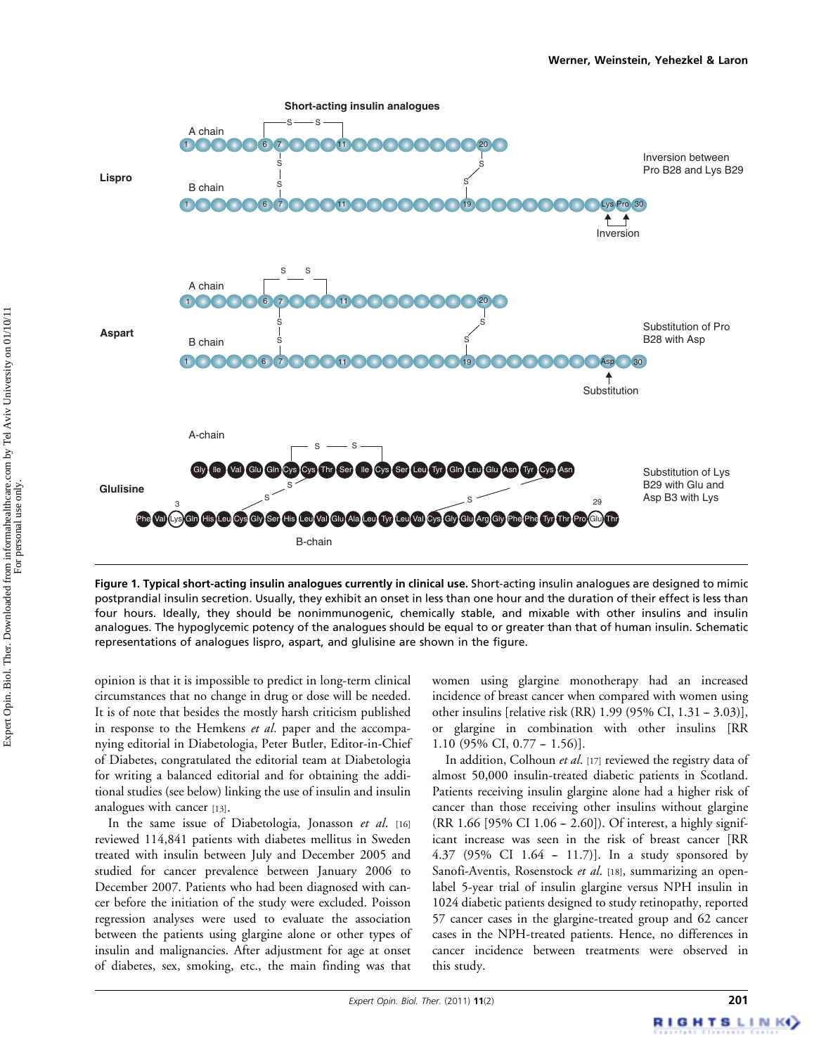

Figure 1. Typical short-acting insulin analogues currently in clinical use. Short-acting insulin analogues are designed to mimic postprandial insulin secretion. Usually, they exhibit an onset in less than one hour and the duration of their effect is less than four hours. Ideally, they should be nonimmunogenic, chemically stable, and mixable with other insulins and insulin analogues. The hypoglycemic potency of the analogues should be equal to or greater than that of human insulin. Schematic representations of analogues lispro, aspart, and glulisine are shown in the figure.

opinion is that it is impossible to predict in long-term clinical circumstances that no change in drug or dose will be needed. It is of note that besides the mostly harsh criticism published in response to the Hemkens et al. paper and the accompanying editorial in Diabetologia, Peter Butler, Editor-in-Chief of Diabetes, congratulated the editorial team at Diabetologia for writing a balanced editorial and for obtaining the additional studies (see below) linking the use of insulin and insulin analogues with cancer [13].

In the same issue of Diabetologia, Jonasson et al. [16] reviewed 114,841 patients with diabetes mellitus in Sweden treated with insulin between July and December 2005 and studied for cancer prevalence between January 2006 to December 2007. Patients who had been diagnosed with cancer before the initiation of the study were excluded. Poisson regression analyses were used to evaluate the association between the patients using glargine alone or other types of insulin and malignancies. After adjustment for age at onset of diabetes, sex, smoking, etc., the main finding was that

women using glargine monotherapy had an increased incidence of breast cancer when compared with women using other insulins [relative risk (RR)  $1.99$  (95% CI,  $1.31 - 3.03$ ], or glargine in combination with other insulins [RR  $1.10$  (95% CI, 0.77 – 1.56)].

In addition, Colhoun et al. [17] reviewed the registry data of almost 50,000 insulin-treated diabetic patients in Scotland. Patients receiving insulin glargine alone had a higher risk of cancer than those receiving other insulins without glargine  $(RR 1.66 [95\% CI 1.06 - 2.60])$ . Of interest, a highly significant increase was seen in the risk of breast cancer [RR 4.37 (95% CI  $1.64 - 11.7$ )]. In a study sponsored by Sanofi-Aventis, Rosenstock et al. [18], summarizing an openlabel 5-year trial of insulin glargine versus NPH insulin in 1024 diabetic patients designed to study retinopathy, reported 57 cancer cases in the glargine-treated group and 62 cancer cases in the NPH-treated patients. Hence, no differences in cancer incidence between treatments were observed in this study.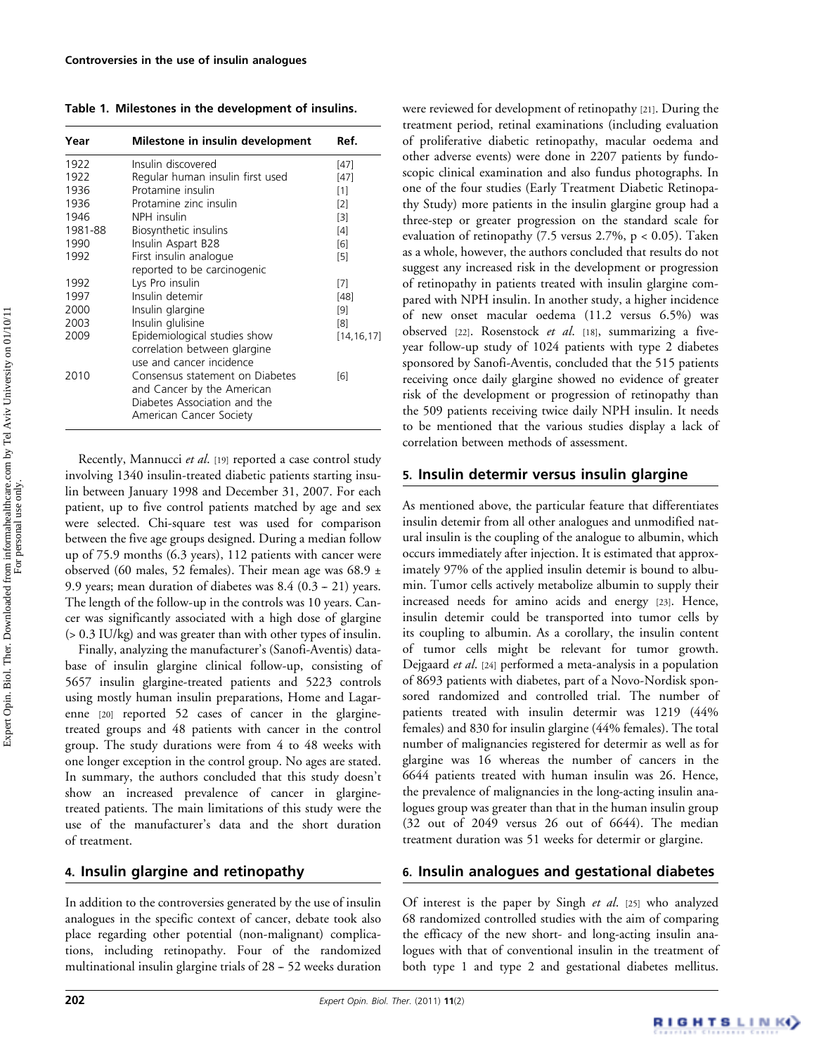Table 1. Milestones in the development of insulins.

| Year    | Milestone in insulin development                                                                                                                     | Ref.         |
|---------|------------------------------------------------------------------------------------------------------------------------------------------------------|--------------|
| 1922    | Insulin discovered                                                                                                                                   | $[47]$       |
| 1922    | Regular human insulin first used                                                                                                                     | [47]         |
| 1936    | Protamine insulin                                                                                                                                    | $[1]$        |
| 1936    | Protamine zinc insulin                                                                                                                               | [2]          |
| 1946    | NPH insulin                                                                                                                                          | $[3]$        |
| 1981-88 | Biosynthetic insulins                                                                                                                                | [4]          |
| 1990    | Insulin Aspart B28                                                                                                                                   | [6]          |
| 1992    | First insulin analogue                                                                                                                               | [5]          |
|         | reported to be carcinogenic                                                                                                                          |              |
| 1992    | Lys Pro insulin                                                                                                                                      | $[7]$        |
| 1997    | Insulin detemir                                                                                                                                      | [48]         |
| 2000    | Insulin glargine                                                                                                                                     | [9]          |
| 2003    | Insulin glulisine                                                                                                                                    | [8]          |
| 2009    | Epidemiological studies show<br>correlation between glargine                                                                                         | [14, 16, 17] |
| 2010    | use and cancer incidence<br>Consensus statement on Diabetes<br>and Cancer by the American<br>Diabetes Association and the<br>American Cancer Society | [6]          |

Recently, Mannucci et al. [19] reported a case control study involving 1340 insulin-treated diabetic patients starting insulin between January 1998 and December 31, 2007. For each patient, up to five control patients matched by age and sex were selected. Chi-square test was used for comparison between the five age groups designed. During a median follow up of 75.9 months (6.3 years), 112 patients with cancer were observed (60 males, 52 females). Their mean age was 68.9  $\pm$ 9.9 years; mean duration of diabetes was  $8.4$   $(0.3 - 21)$  years. The length of the follow-up in the controls was 10 years. Cancer was significantly associated with a high dose of glargine (> 0.3 IU/kg) and was greater than with other types of insulin.

Finally, analyzing the manufacturer's (Sanofi-Aventis) database of insulin glargine clinical follow-up, consisting of 5657 insulin glargine-treated patients and 5223 controls using mostly human insulin preparations, Home and Lagarenne [20] reported 52 cases of cancer in the glarginetreated groups and 48 patients with cancer in the control group. The study durations were from 4 to 48 weeks with one longer exception in the control group. No ages are stated. In summary, the authors concluded that this study doesn't show an increased prevalence of cancer in glarginetreated patients. The main limitations of this study were the use of the manufacturer's data and the short duration of treatment.

#### 4. Insulin glargine and retinopathy

In addition to the controversies generated by the use of insulin analogues in the specific context of cancer, debate took also place regarding other potential (non-malignant) complications, including retinopathy. Four of the randomized multinational insulin glargine trials of  $28 - 52$  weeks duration were reviewed for development of retinopathy [21]. During the treatment period, retinal examinations (including evaluation of proliferative diabetic retinopathy, macular oedema and other adverse events) were done in 2207 patients by fundoscopic clinical examination and also fundus photographs. In one of the four studies (Early Treatment Diabetic Retinopathy Study) more patients in the insulin glargine group had a three-step or greater progression on the standard scale for evaluation of retinopathy (7.5 versus 2.7%, p < 0.05). Taken as a whole, however, the authors concluded that results do not suggest any increased risk in the development or progression of retinopathy in patients treated with insulin glargine compared with NPH insulin. In another study, a higher incidence of new onset macular oedema (11.2 versus 6.5%) was observed [22]. Rosenstock et al. [18], summarizing a fiveyear follow-up study of 1024 patients with type 2 diabetes sponsored by Sanofi-Aventis, concluded that the 515 patients receiving once daily glargine showed no evidence of greater risk of the development or progression of retinopathy than the 509 patients receiving twice daily NPH insulin. It needs to be mentioned that the various studies display a lack of correlation between methods of assessment.

#### 5. Insulin determir versus insulin glargine

As mentioned above, the particular feature that differentiates insulin detemir from all other analogues and unmodified natural insulin is the coupling of the analogue to albumin, which occurs immediately after injection. It is estimated that approximately 97% of the applied insulin detemir is bound to albumin. Tumor cells actively metabolize albumin to supply their increased needs for amino acids and energy [23]. Hence, insulin detemir could be transported into tumor cells by its coupling to albumin. As a corollary, the insulin content of tumor cells might be relevant for tumor growth. Dejgaard et al. [24] performed a meta-analysis in a population of 8693 patients with diabetes, part of a Novo-Nordisk sponsored randomized and controlled trial. The number of patients treated with insulin determir was 1219 (44% females) and 830 for insulin glargine (44% females). The total number of malignancies registered for determir as well as for glargine was 16 whereas the number of cancers in the 6644 patients treated with human insulin was 26. Hence, the prevalence of malignancies in the long-acting insulin analogues group was greater than that in the human insulin group (32 out of 2049 versus 26 out of 6644). The median treatment duration was 51 weeks for determir or glargine.

# 6. Insulin analogues and gestational diabetes

Of interest is the paper by Singh et al. [25] who analyzed 68 randomized controlled studies with the aim of comparing the efficacy of the new short- and long-acting insulin analogues with that of conventional insulin in the treatment of both type 1 and type 2 and gestational diabetes mellitus.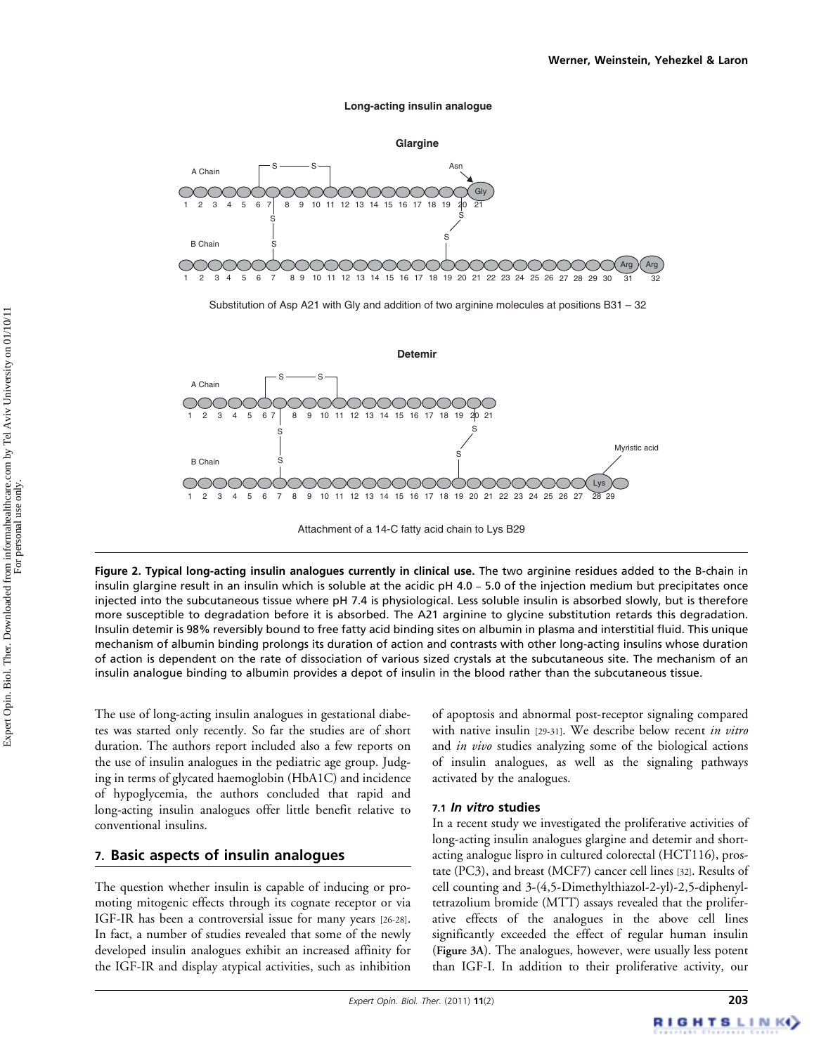#### **Long-acting insulin analogue**



Substitution of Asp A21 with Gly and addition of two arginine molecules at positions B31 – 32



Attachment of a 14-C fatty acid chain to Lys B29

Figure 2. Typical long-acting insulin analogues currently in clinical use. The two arginine residues added to the B-chain in insulin glargine result in an insulin which is soluble at the acidic  $pH 4.0 - 5.0$  of the injection medium but precipitates once injected into the subcutaneous tissue where pH 7.4 is physiological. Less soluble insulin is absorbed slowly, but is therefore more susceptible to degradation before it is absorbed. The A21 arginine to glycine substitution retards this degradation. Insulin detemir is 98% reversibly bound to free fatty acid binding sites on albumin in plasma and interstitial fluid. This unique mechanism of albumin binding prolongs its duration of action and contrasts with other long-acting insulins whose duration of action is dependent on the rate of dissociation of various sized crystals at the subcutaneous site. The mechanism of an insulin analogue binding to albumin provides a depot of insulin in the blood rather than the subcutaneous tissue.

The use of long-acting insulin analogues in gestational diabetes was started only recently. So far the studies are of short duration. The authors report included also a few reports on the use of insulin analogues in the pediatric age group. Judging in terms of glycated haemoglobin (HbA1C) and incidence of hypoglycemia, the authors concluded that rapid and long-acting insulin analogues offer little benefit relative to conventional insulins.

# 7. Basic aspects of insulin analogues

The question whether insulin is capable of inducing or promoting mitogenic effects through its cognate receptor or via IGF-IR has been a controversial issue for many years [26-28]. In fact, a number of studies revealed that some of the newly developed insulin analogues exhibit an increased affinity for the IGF-IR and display atypical activities, such as inhibition of apoptosis and abnormal post-receptor signaling compared with native insulin [29-31]. We describe below recent in vitro and *in vivo* studies analyzing some of the biological actions of insulin analogues, as well as the signaling pathways activated by the analogues.

#### 7.1 In vitro studies

In a recent study we investigated the proliferative activities of long-acting insulin analogues glargine and detemir and shortacting analogue lispro in cultured colorectal (HCT116), prostate (PC3), and breast (MCF7) cancer cell lines [32]. Results of cell counting and 3-(4,5-Dimethylthiazol-2-yl)-2,5-diphenyltetrazolium bromide (MTT) assays revealed that the proliferative effects of the analogues in the above cell lines significantly exceeded the effect of regular human insulin (Figure 3A). The analogues, however, were usually less potent than IGF-I. In addition to their proliferative activity, our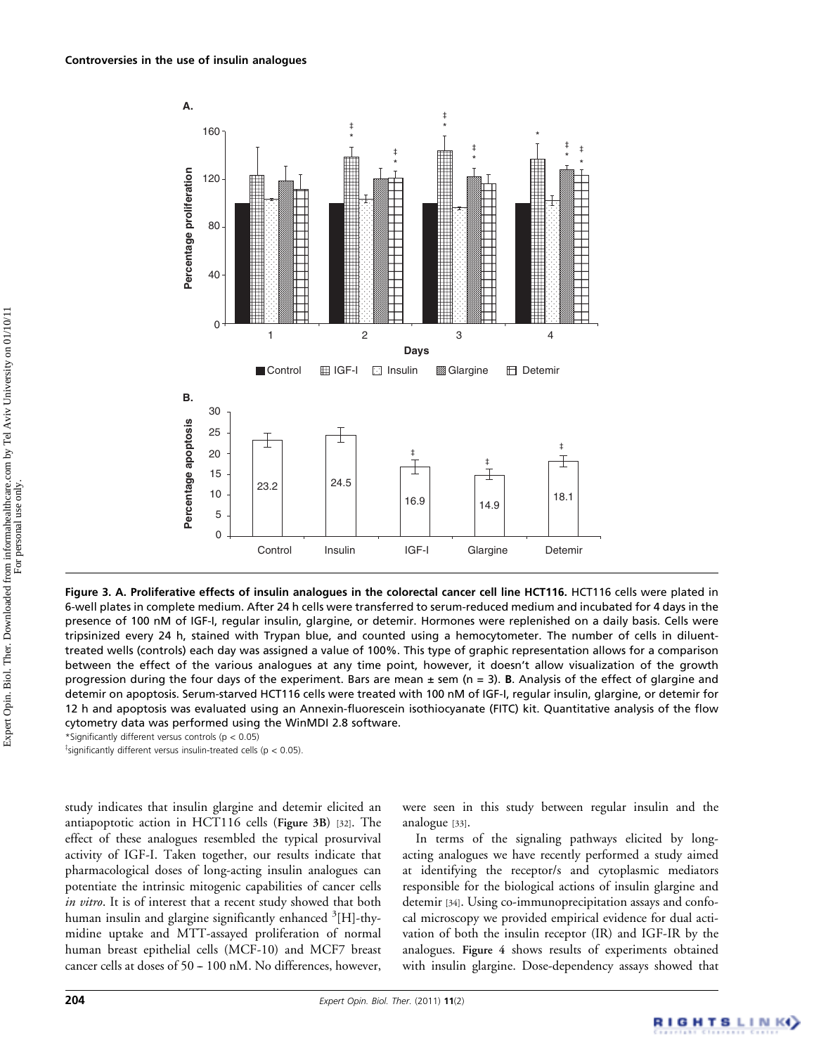

Figure 3. A. Proliferative effects of insulin analogues in the colorectal cancer cell line HCT116. HCT116 cells were plated in 6-well plates in complete medium. After 24 h cells were transferred to serum-reduced medium and incubated for 4 days in the presence of 100 nM of IGF-I, regular insulin, glargine, or detemir. Hormones were replenished on a daily basis. Cells were tripsinized every 24 h, stained with Trypan blue, and counted using a hemocytometer. The number of cells in diluenttreated wells (controls) each day was assigned a value of 100%. This type of graphic representation allows for a comparison between the effect of the various analogues at any time point, however, it doesn't allow visualization of the growth progression during the four days of the experiment. Bars are mean  $\pm$  sem (n = 3). B. Analysis of the effect of glargine and detemir on apoptosis. Serum-starved HCT116 cells were treated with 100 nM of IGF-I, regular insulin, glargine, or detemir for 12 h and apoptosis was evaluated using an Annexin-fluorescein isothiocyanate (FITC) kit. Quantitative analysis of the flow cytometry data was performed using the WinMDI 2.8 software.

\*Significantly different versus controls (p < 0.05)

 $\overline{\phantom{a}}$ significantly different versus insulin-treated cells (p < 0.05).

study indicates that insulin glargine and detemir elicited an antiapoptotic action in HCT116 cells (Figure 3B) [32]. The effect of these analogues resembled the typical prosurvival activity of IGF-I. Taken together, our results indicate that pharmacological doses of long-acting insulin analogues can potentiate the intrinsic mitogenic capabilities of cancer cells in vitro. It is of interest that a recent study showed that both human insulin and glargine significantly enhanced <sup>3</sup>[H]-thymidine uptake and MTT-assayed proliferation of normal human breast epithelial cells (MCF-10) and MCF7 breast cancer cells at doses of 50 - 100 nM. No differences, however,

were seen in this study between regular insulin and the analogue [33].

In terms of the signaling pathways elicited by longacting analogues we have recently performed a study aimed at identifying the receptor/s and cytoplasmic mediators responsible for the biological actions of insulin glargine and detemir [34]. Using co-immunoprecipitation assays and confocal microscopy we provided empirical evidence for dual activation of both the insulin receptor (IR) and IGF-IR by the analogues. Figure 4 shows results of experiments obtained with insulin glargine. Dose-dependency assays showed that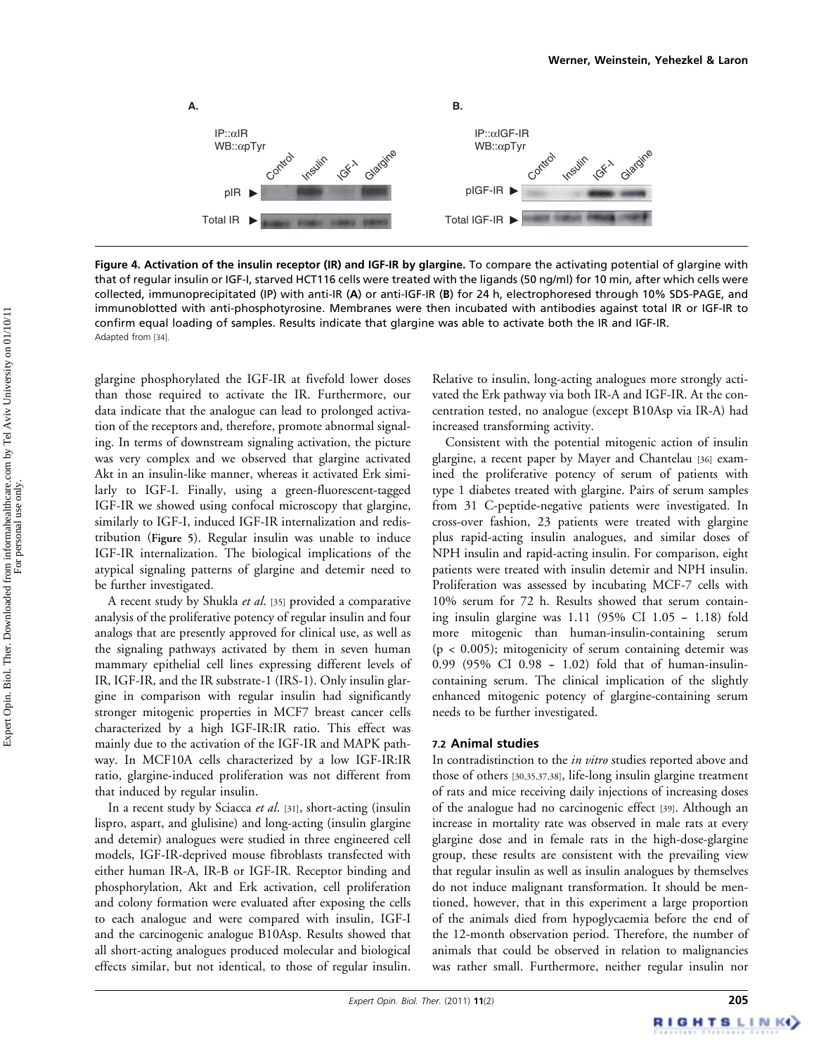

Figure 4. Activation of the insulin receptor (IR) and IGF-IR by glargine. To compare the activating potential of glargine with that of regular insulin or IGF-I, starved HCT116 cells were treated with the ligands (50 ng/ml) for 10 min, after which cells were collected, immunoprecipitated (IP) with anti-IR (A) or anti-IGF-IR (B) for 24 h, electrophoresed through 10% SDS-PAGE, and immunoblotted with anti-phosphotyrosine. Membranes were then incubated with antibodies against total IR or IGF-IR to confirm equal loading of samples. Results indicate that glargine was able to activate both the IR and IGF-IR. Adapted from [34].

glargine phosphorylated the IGF-IR at fivefold lower doses than those required to activate the IR. Furthermore, our data indicate that the analogue can lead to prolonged activation of the receptors and, therefore, promote abnormal signaling. In terms of downstream signaling activation, the picture was very complex and we observed that glargine activated Akt in an insulin-like manner, whereas it activated Erk similarly to IGF-I. Finally, using a green-fluorescent-tagged IGF-IR we showed using confocal microscopy that glargine, similarly to IGF-I, induced IGF-IR internalization and redistribution (Figure 5). Regular insulin was unable to induce IGF-IR internalization. The biological implications of the atypical signaling patterns of glargine and detemir need to be further investigated.

A recent study by Shukla et al. [35] provided a comparative analysis of the proliferative potency of regular insulin and four analogs that are presently approved for clinical use, as well as the signaling pathways activated by them in seven human mammary epithelial cell lines expressing different levels of IR, IGF-IR, and the IR substrate-1 (IRS-1). Only insulin glargine in comparison with regular insulin had significantly stronger mitogenic properties in MCF7 breast cancer cells characterized by a high IGF-IR:IR ratio. This effect was mainly due to the activation of the IGF-IR and MAPK pathway. In MCF10A cells characterized by a low IGF-IR:IR ratio, glargine-induced proliferation was not different from that induced by regular insulin.

In a recent study by Sciacca et al. [31], short-acting (insulin lispro, aspart, and glulisine) and long-acting (insulin glargine and detemir) analogues were studied in three engineered cell models, IGF-IR-deprived mouse fibroblasts transfected with either human IR-A, IR-B or IGF-IR. Receptor binding and phosphorylation, Akt and Erk activation, cell proliferation and colony formation were evaluated after exposing the cells to each analogue and were compared with insulin, IGF-I and the carcinogenic analogue B10Asp. Results showed that all short-acting analogues produced molecular and biological effects similar, but not identical, to those of regular insulin. Relative to insulin, long-acting analogues more strongly activated the Erk pathway via both IR-A and IGF-IR. At the concentration tested, no analogue (except B10Asp via IR-A) had increased transforming activity.

Consistent with the potential mitogenic action of insulin glargine, a recent paper by Mayer and Chantelau [36] examined the proliferative potency of serum of patients with type 1 diabetes treated with glargine. Pairs of serum samples from 31 C-peptide-negative patients were investigated. In cross-over fashion, 23 patients were treated with glargine plus rapid-acting insulin analogues, and similar doses of NPH insulin and rapid-acting insulin. For comparison, eight patients were treated with insulin detemir and NPH insulin. Proliferation was assessed by incubating MCF-7 cells with 10% serum for 72 h. Results showed that serum containing insulin glargine was  $1.11$  (95% CI  $1.05 - 1.18$ ) fold more mitogenic than human-insulin-containing serum  $(p < 0.005)$ ; mitogenicity of serum containing detemir was 0.99 (95% CI 0.98 - 1.02) fold that of human-insulincontaining serum. The clinical implication of the slightly enhanced mitogenic potency of glargine-containing serum needs to be further investigated.

#### 7.2 Animal studies

In contradistinction to the *in vitro* studies reported above and those of others [30,35,37,38], life-long insulin glargine treatment of rats and mice receiving daily injections of increasing doses of the analogue had no carcinogenic effect [39]. Although an increase in mortality rate was observed in male rats at every glargine dose and in female rats in the high-dose-glargine group, these results are consistent with the prevailing view that regular insulin as well as insulin analogues by themselves do not induce malignant transformation. It should be mentioned, however, that in this experiment a large proportion of the animals died from hypoglycaemia before the end of the 12-month observation period. Therefore, the number of animals that could be observed in relation to malignancies was rather small. Furthermore, neither regular insulin nor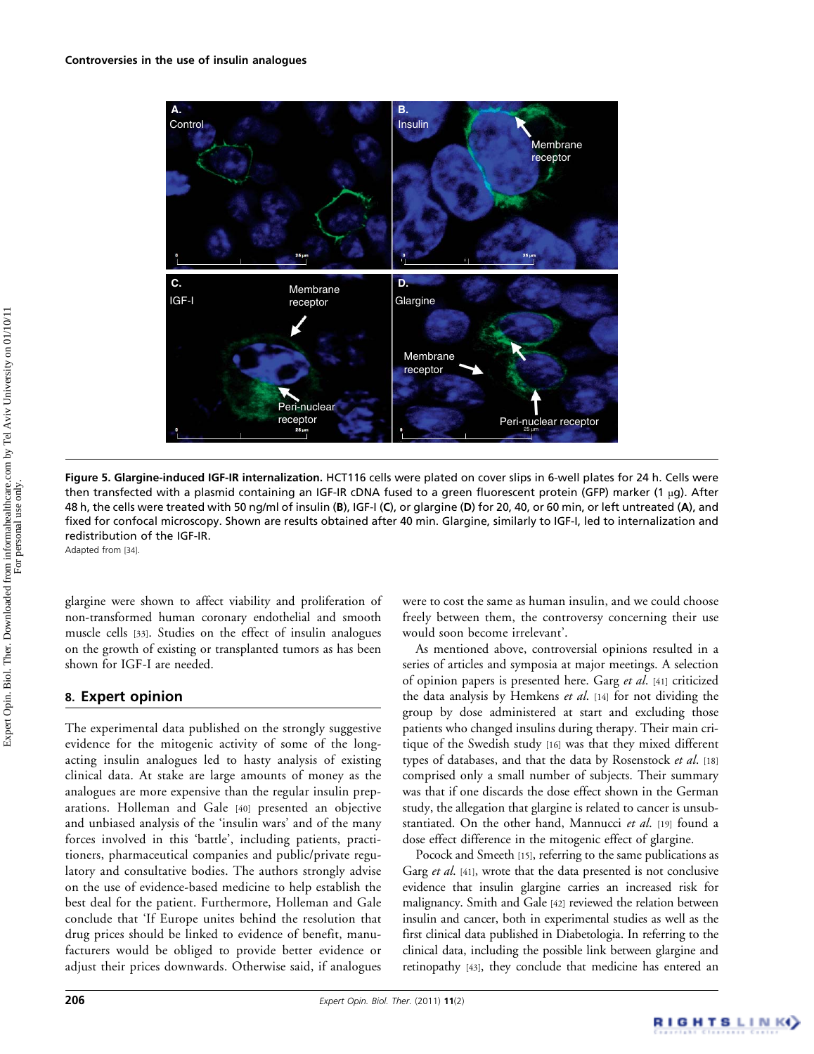

Figure 5. Glargine-induced IGF-IR internalization. HCT116 cells were plated on cover slips in 6-well plates for 24 h. Cells were then transfected with a plasmid containing an IGF-IR cDNA fused to a green fluorescent protein (GFP) marker (1 µg). After 48 h, the cells were treated with 50 ng/ml of insulin (B), IGF-I (C), or glargine (D) for 20, 40, or 60 min, or left untreated (A), and fixed for confocal microscopy. Shown are results obtained after 40 min. Glargine, similarly to IGF-I, led to internalization and redistribution of the IGF-IR.

Adapted from [34].

glargine were shown to affect viability and proliferation of non-transformed human coronary endothelial and smooth muscle cells [33]. Studies on the effect of insulin analogues on the growth of existing or transplanted tumors as has been shown for IGF-I are needed.

# 8. Expert opinion

The experimental data published on the strongly suggestive evidence for the mitogenic activity of some of the longacting insulin analogues led to hasty analysis of existing clinical data. At stake are large amounts of money as the analogues are more expensive than the regular insulin preparations. Holleman and Gale [40] presented an objective and unbiased analysis of the 'insulin wars' and of the many forces involved in this 'battle', including patients, practitioners, pharmaceutical companies and public/private regulatory and consultative bodies. The authors strongly advise on the use of evidence-based medicine to help establish the best deal for the patient. Furthermore, Holleman and Gale conclude that 'If Europe unites behind the resolution that drug prices should be linked to evidence of benefit, manufacturers would be obliged to provide better evidence or adjust their prices downwards. Otherwise said, if analogues

were to cost the same as human insulin, and we could choose freely between them, the controversy concerning their use would soon become irrelevant'.

As mentioned above, controversial opinions resulted in a series of articles and symposia at major meetings. A selection of opinion papers is presented here. Garg et al. [41] criticized the data analysis by Hemkens et al. [14] for not dividing the group by dose administered at start and excluding those patients who changed insulins during therapy. Their main critique of the Swedish study [16] was that they mixed different types of databases, and that the data by Rosenstock et al. [18] comprised only a small number of subjects. Their summary was that if one discards the dose effect shown in the German study, the allegation that glargine is related to cancer is unsubstantiated. On the other hand, Mannucci et al. [19] found a dose effect difference in the mitogenic effect of glargine.

Pocock and Smeeth [15], referring to the same publications as Garg et al. [41], wrote that the data presented is not conclusive evidence that insulin glargine carries an increased risk for malignancy. Smith and Gale [42] reviewed the relation between insulin and cancer, both in experimental studies as well as the first clinical data published in Diabetologia. In referring to the clinical data, including the possible link between glargine and retinopathy [43], they conclude that medicine has entered an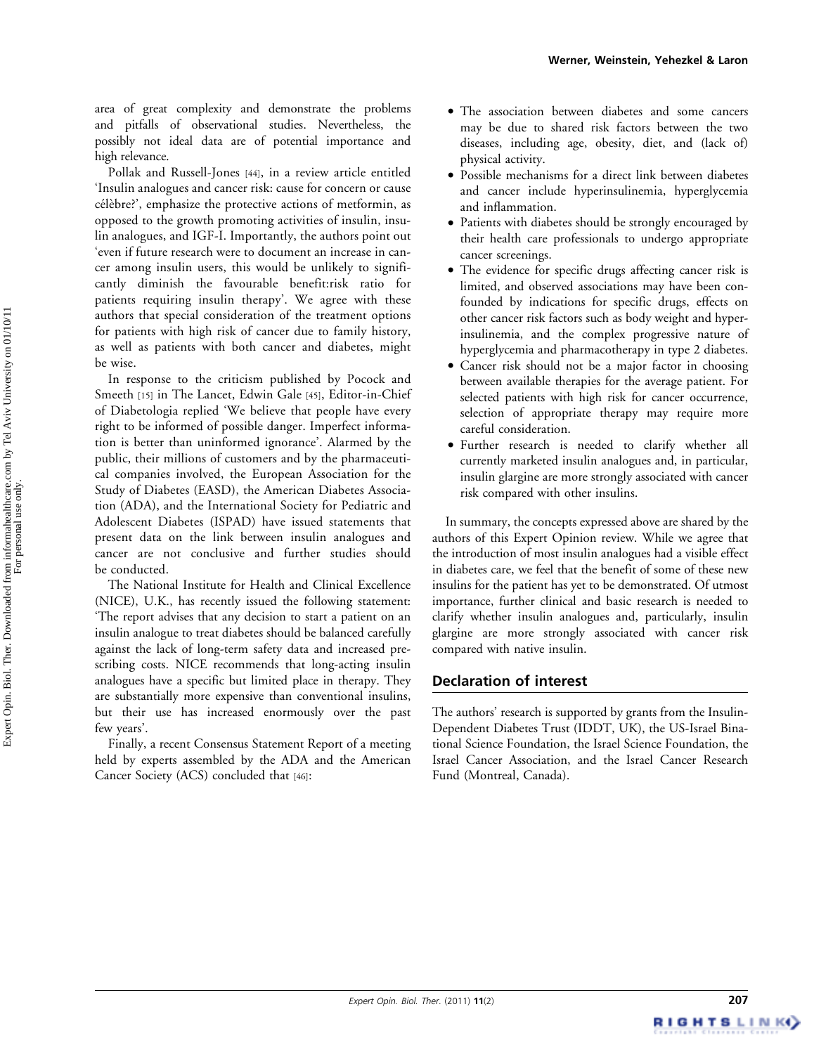area of great complexity and demonstrate the problems and pitfalls of observational studies. Nevertheless, the possibly not ideal data are of potential importance and high relevance.

Pollak and Russell-Jones [44], in a review article entitled 'Insulin analogues and cancer risk: cause for concern or cause célèbre?', emphasize the protective actions of metformin, as opposed to the growth promoting activities of insulin, insulin analogues, and IGF-I. Importantly, the authors point out 'even if future research were to document an increase in cancer among insulin users, this would be unlikely to significantly diminish the favourable benefit:risk ratio for patients requiring insulin therapy'. We agree with these authors that special consideration of the treatment options for patients with high risk of cancer due to family history, as well as patients with both cancer and diabetes, might be wise.

In response to the criticism published by Pocock and Smeeth [15] in The Lancet, Edwin Gale [45], Editor-in-Chief of Diabetologia replied 'We believe that people have every right to be informed of possible danger. Imperfect information is better than uninformed ignorance'. Alarmed by the public, their millions of customers and by the pharmaceutical companies involved, the European Association for the Study of Diabetes (EASD), the American Diabetes Association (ADA), and the International Society for Pediatric and Adolescent Diabetes (ISPAD) have issued statements that present data on the link between insulin analogues and cancer are not conclusive and further studies should be conducted.

The National Institute for Health and Clinical Excellence (NICE), U.K., has recently issued the following statement: 'The report advises that any decision to start a patient on an insulin analogue to treat diabetes should be balanced carefully against the lack of long-term safety data and increased prescribing costs. NICE recommends that long-acting insulin analogues have a specific but limited place in therapy. They are substantially more expensive than conventional insulins, but their use has increased enormously over the past few years'.

Finally, a recent Consensus Statement Report of a meeting held by experts assembled by the ADA and the American Cancer Society (ACS) concluded that [46]:

- . The association between diabetes and some cancers may be due to shared risk factors between the two diseases, including age, obesity, diet, and (lack of) physical activity.
- . Possible mechanisms for a direct link between diabetes and cancer include hyperinsulinemia, hyperglycemia and inflammation.
- . Patients with diabetes should be strongly encouraged by their health care professionals to undergo appropriate cancer screenings.
- . The evidence for specific drugs affecting cancer risk is limited, and observed associations may have been confounded by indications for specific drugs, effects on other cancer risk factors such as body weight and hyperinsulinemia, and the complex progressive nature of hyperglycemia and pharmacotherapy in type 2 diabetes.
- . Cancer risk should not be a major factor in choosing between available therapies for the average patient. For selected patients with high risk for cancer occurrence, selection of appropriate therapy may require more careful consideration.
- . Further research is needed to clarify whether all currently marketed insulin analogues and, in particular, insulin glargine are more strongly associated with cancer risk compared with other insulins.

In summary, the concepts expressed above are shared by the authors of this Expert Opinion review. While we agree that the introduction of most insulin analogues had a visible effect in diabetes care, we feel that the benefit of some of these new insulins for the patient has yet to be demonstrated. Of utmost importance, further clinical and basic research is needed to clarify whether insulin analogues and, particularly, insulin glargine are more strongly associated with cancer risk compared with native insulin.

# Declaration of interest

The authors' research is supported by grants from the Insulin-Dependent Diabetes Trust (IDDT, UK), the US-Israel Binational Science Foundation, the Israel Science Foundation, the Israel Cancer Association, and the Israel Cancer Research Fund (Montreal, Canada).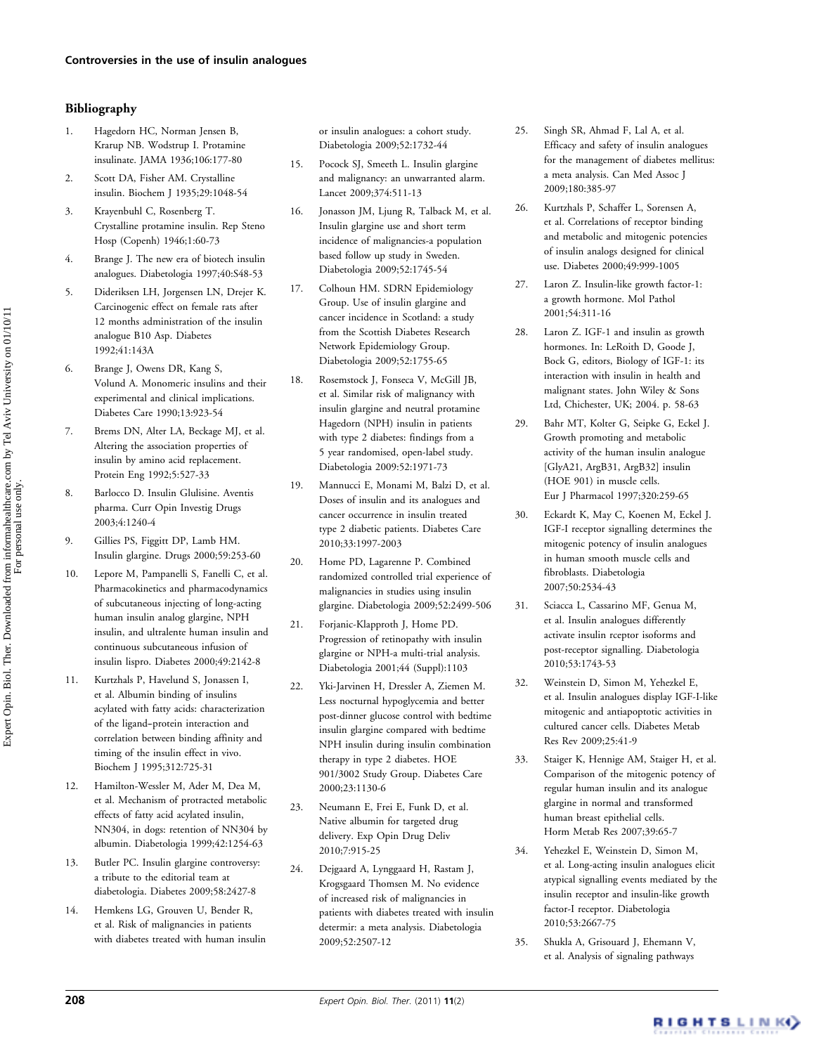### Bibliography

- 1. Hagedorn HC, Norman Jensen B, Krarup NB. Wodstrup I. Protamine insulinate. JAMA 1936;106:177-80
- 2. Scott DA, Fisher AM. Crystalline insulin. Biochem J 1935;29:1048-54
- 3. Krayenbuhl C, Rosenberg T. Crystalline protamine insulin. Rep Steno Hosp (Copenh) 1946;1:60-73
- 4. Brange J. The new era of biotech insulin analogues. Diabetologia 1997;40:S48-53
- 5. Dideriksen LH, Jorgensen LN, Drejer K. Carcinogenic effect on female rats after 12 months administration of the insulin analogue B10 Asp. Diabetes 1992;41:143A
- 6. Brange J, Owens DR, Kang S, Volund A. Monomeric insulins and their experimental and clinical implications. Diabetes Care 1990;13:923-54
- 7. Brems DN, Alter LA, Beckage MJ, et al. Altering the association properties of insulin by amino acid replacement. Protein Eng 1992;5:527-33
- 8. Barlocco D. Insulin Glulisine. Aventis pharma. Curr Opin Investig Drugs 2003;4:1240-4
- 9. Gillies PS, Figgitt DP, Lamb HM. Insulin glargine. Drugs 2000;59:253-60
- 10. Lepore M, Pampanelli S, Fanelli C, et al. Pharmacokinetics and pharmacodynamics of subcutaneous injecting of long-acting human insulin analog glargine, NPH insulin, and ultralente human insulin and continuous subcutaneous infusion of insulin lispro. Diabetes 2000;49:2142-8
- 11. Kurtzhals P, Havelund S, Jonassen I, et al. Albumin binding of insulins acylated with fatty acids: characterization of the ligand--protein interaction and correlation between binding affinity and timing of the insulin effect in vivo. Biochem J 1995;312:725-31
- 12. Hamilton-Wessler M, Ader M, Dea M, et al. Mechanism of protracted metabolic effects of fatty acid acylated insulin, NN304, in dogs: retention of NN304 by albumin. Diabetologia 1999;42:1254-63
- 13. Butler PC. Insulin glargine controversy: a tribute to the editorial team at diabetologia. Diabetes 2009;58:2427-8
- 14. Hemkens LG, Grouven U, Bender R, et al. Risk of malignancies in patients with diabetes treated with human insulin

or insulin analogues: a cohort study. Diabetologia 2009;52:1732-44

- 15. Pocock SJ, Smeeth L. Insulin glargine and malignancy: an unwarranted alarm. Lancet 2009;374:511-13
- 16. Jonasson JM, Ljung R, Talback M, et al. Insulin glargine use and short term incidence of malignancies-a population based follow up study in Sweden. Diabetologia 2009;52:1745-54
- 17. Colhoun HM. SDRN Epidemiology Group. Use of insulin glargine and cancer incidence in Scotland: a study from the Scottish Diabetes Research Network Epidemiology Group. Diabetologia 2009;52:1755-65
- 18. Rosemstock J, Fonseca V, McGill JB, et al. Similar risk of malignancy with insulin glargine and neutral protamine Hagedorn (NPH) insulin in patients with type 2 diabetes: findings from a 5 year randomised, open-label study. Diabetologia 2009:52:1971-73
- 19. Mannucci E, Monami M, Balzi D, et al. Doses of insulin and its analogues and cancer occurrence in insulin treated type 2 diabetic patients. Diabetes Care 2010;33:1997-2003
- 20. Home PD, Lagarenne P. Combined randomized controlled trial experience of malignancies in studies using insulin glargine. Diabetologia 2009;52:2499-506
- 21. Forjanic-Klapproth J, Home PD. Progression of retinopathy with insulin glargine or NPH-a multi-trial analysis. Diabetologia 2001;44 (Suppl):1103
- 22. Yki-Jarvinen H, Dressler A, Ziemen M. Less nocturnal hypoglycemia and better post-dinner glucose control with bedtime insulin glargine compared with bedtime NPH insulin during insulin combination therapy in type 2 diabetes. HOE 901/3002 Study Group. Diabetes Care 2000;23:1130-6
- 23. Neumann E, Frei E, Funk D, et al. Native albumin for targeted drug delivery. Exp Opin Drug Deliv 2010;7:915-25
- 24. Dejgaard A, Lynggaard H, Rastam J, Krogsgaard Thomsen M. No evidence of increased risk of malignancies in patients with diabetes treated with insulin determir: a meta analysis. Diabetologia 2009;52:2507-12
- 25. Singh SR, Ahmad F, Lal A, et al. Efficacy and safety of insulin analogues for the management of diabetes mellitus: a meta analysis. Can Med Assoc J 2009;180:385-97
- 26. Kurtzhals P, Schaffer L, Sorensen A, et al. Correlations of receptor binding and metabolic and mitogenic potencies of insulin analogs designed for clinical use. Diabetes 2000;49:999-1005
- 27. Laron Z. Insulin-like growth factor-1: a growth hormone. Mol Pathol 2001;54:311-16
- 28. Laron Z. IGF-1 and insulin as growth hormones. In: LeRoith D, Goode J, Bock G, editors, Biology of IGF-1: its interaction with insulin in health and malignant states. John Wiley & Sons Ltd, Chichester, UK; 2004. p. 58-63
- 29. Bahr MT, Kolter G, Seipke G, Eckel J. Growth promoting and metabolic activity of the human insulin analogue [GlyA21, ArgB31, ArgB32] insulin (HOE 901) in muscle cells. Eur J Pharmacol 1997;320:259-65
- 30. Eckardt K, May C, Koenen M, Eckel J. IGF-I receptor signalling determines the mitogenic potency of insulin analogues in human smooth muscle cells and fibroblasts. Diabetologia 2007;50:2534-43
- 31. Sciacca L, Cassarino MF, Genua M, et al. Insulin analogues differently activate insulin rceptor isoforms and post-receptor signalling. Diabetologia 2010;53:1743-53
- 32. Weinstein D, Simon M, Yehezkel E, et al. Insulin analogues display IGF-I-like mitogenic and antiapoptotic activities in cultured cancer cells. Diabetes Metab Res Rev 2009;25:41-9
- 33. Staiger K, Hennige AM, Staiger H, et al. Comparison of the mitogenic potency of regular human insulin and its analogue glargine in normal and transformed human breast epithelial cells. Horm Metab Res 2007;39:65-7
- 34. Yehezkel E, Weinstein D, Simon M, et al. Long-acting insulin analogues elicit atypical signalling events mediated by the insulin receptor and insulin-like growth factor-I receptor. Diabetologia 2010;53:2667-75
- 35. Shukla A, Grisouard J, Ehemann V, et al. Analysis of signaling pathways